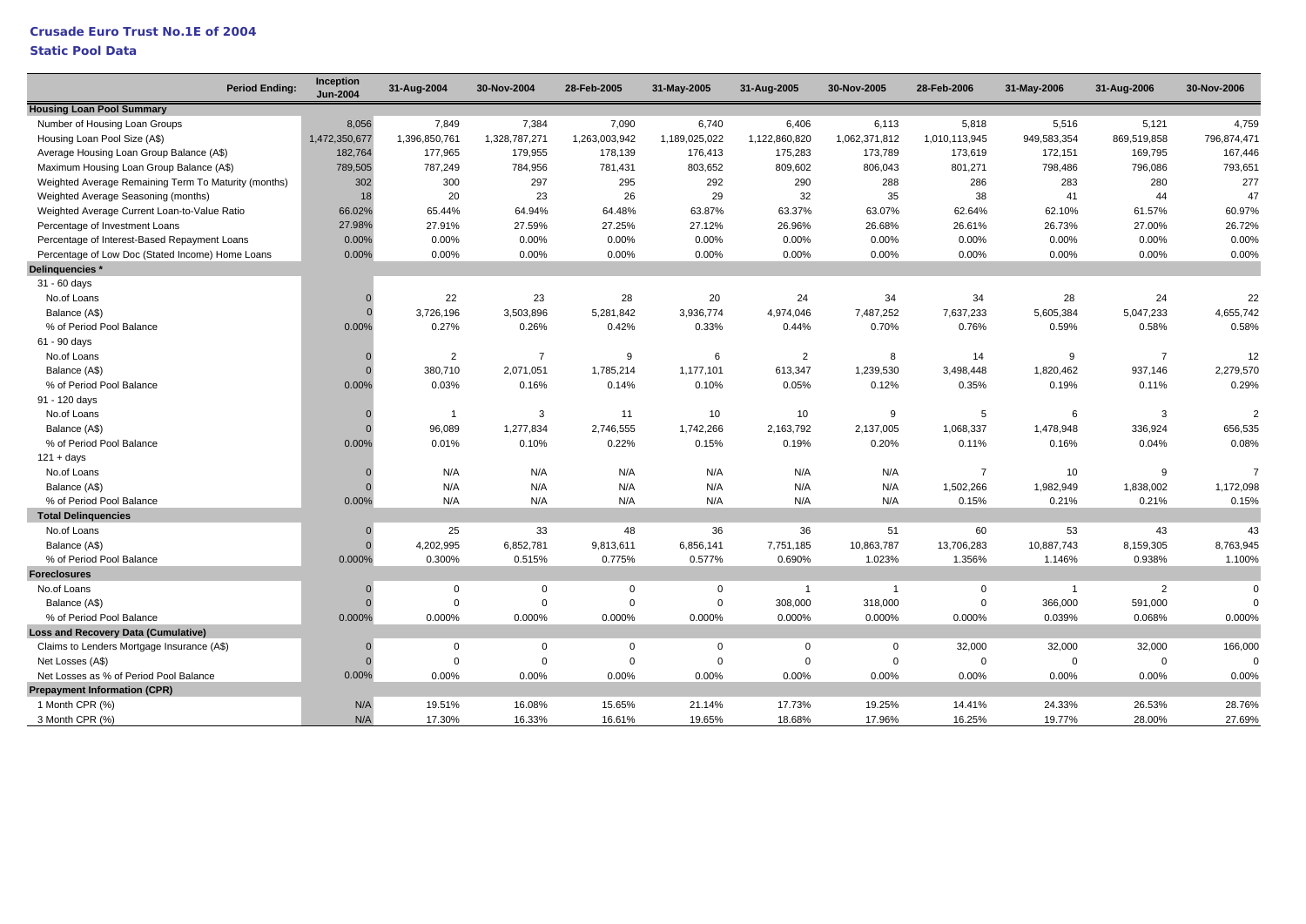### **Static Pool Data**

| <b>Housing Loan Pool Summary</b><br>4,759<br>Number of Housing Loan Groups<br>8,056<br>7,849<br>7,384<br>7,090<br>6,740<br>6,406<br>6,113<br>5,818<br>5,516<br>5,121<br>1,472,350,677<br>1,396,850,761<br>1,328,787,271<br>1,263,003,942<br>1,189,025,022<br>1,122,860,820<br>1,062,371,812<br>949,583,354<br>869,519,858<br>796,874,471<br>Housing Loan Pool Size (A\$)<br>1,010,113,945<br>182,764<br>177,965<br>179,955<br>178,139<br>176,413<br>175,283<br>173,789<br>173,619<br>172,151<br>169,795<br>167,446<br>Average Housing Loan Group Balance (A\$)<br>787,249<br>803,652<br>801,271<br>793,651<br>Maximum Housing Loan Group Balance (A\$)<br>789,505<br>784,956<br>781,431<br>809,602<br>806,043<br>798,486<br>796,086<br>302<br>300<br>297<br>295<br>292<br>290<br>288<br>286<br>283<br>280<br>277<br>Weighted Average Remaining Term To Maturity (months)<br>29<br>38<br>20<br>23<br>26<br>32<br>35<br>41<br>44<br>47<br>Weighted Average Seasoning (months)<br>18<br>60.97%<br>66.02%<br>65.44%<br>64.94%<br>64.48%<br>63.87%<br>63.37%<br>63.07%<br>62.64%<br>62.10%<br>61.57%<br>Weighted Average Current Loan-to-Value Ratio<br>27.91%<br>27.12%<br>26.61%<br>26.72%<br>Percentage of Investment Loans<br>27.98%<br>27.59%<br>27.25%<br>26.96%<br>26.68%<br>26.73%<br>27.00%<br>0.00%<br>0.00%<br>0.00%<br>0.00%<br>Percentage of Interest-Based Repayment Loans<br>0.00%<br>0.00%<br>0.00%<br>0.00%<br>0.00%<br>0.00%<br>0.00%<br>0.00%<br>0.00%<br>0.00%<br>0.00%<br>0.00%<br>0.00%<br>0.00%<br>0.00%<br>0.00%<br>0.00%<br>0.00%<br>Percentage of Low Doc (Stated Income) Home Loans<br>Delinquencies*<br>31 - 60 days<br>22<br>28<br>20<br>34<br>34<br>28<br>24<br>22<br>No.of Loans<br>23<br>24<br>$\Omega$<br>3,726,196<br>3,503,896<br>5,281,842<br>3,936,774<br>7,487,252<br>7,637,233<br>5,605,384<br>5,047,233<br>4,655,742<br>Balance (A\$)<br>4,974,046<br>$\cap$<br>% of Period Pool Balance<br>0.27%<br>0.26%<br>0.42%<br>0.33%<br>0.70%<br>0.76%<br>0.59%<br>0.58%<br>0.58%<br>0.00%<br>0.44%<br>61 - 90 days<br>$\overline{2}$<br>No.of Loans<br>$\overline{2}$<br>$\overline{7}$<br>9<br>8<br>14<br>9<br>$\overline{7}$<br>12<br>6<br>$\Omega$<br>380,710<br>2,071,051<br>1,785,214<br>1,177,101<br>613,347<br>1,239,530<br>3,498,448<br>1,820,462<br>937,146<br>2,279,570<br>Balance (A\$)<br>$\Omega$<br>% of Period Pool Balance<br>0.29%<br>0.00%<br>0.03%<br>0.14%<br>0.10%<br>0.12%<br>0.35%<br>0.16%<br>0.05%<br>0.19%<br>0.11%<br>91 - 120 days<br>3<br>11<br>10<br>10<br>9<br>5<br>6<br>$\overline{2}$<br>No.of Loans<br>3<br>-1<br>96,089<br>2,746,555<br>1,742,266<br>2,137,005<br>1,068,337<br>656,535<br>1,277,834<br>2,163,792<br>1,478,948<br>336,924<br>Balance (A\$)<br>0.00%<br>0.08%<br>% of Period Pool Balance<br>0.01%<br>0.10%<br>0.22%<br>0.15%<br>0.19%<br>0.20%<br>0.11%<br>0.16%<br>0.04%<br>$121 + days$<br>No.of Loans<br>N/A<br>N/A<br>N/A<br>N/A<br>N/A<br>N/A<br>$\overline{7}$<br>10<br>$\overline{7}$<br>9<br>$\Omega$<br>N/A<br>N/A<br>N/A<br>N/A<br>N/A<br>N/A<br>1,502,266<br>1,838,002<br>1,172,098<br>Balance (A\$)<br>1,982,949<br>$\Omega$<br>% of Period Pool Balance<br>0.00%<br>N/A<br>N/A<br>N/A<br>0.15%<br>0.15%<br>N/A<br>N/A<br>N/A<br>0.21%<br>0.21%<br><b>Total Delinquencies</b><br>No.of Loans<br>25<br>33<br>48<br>36<br>36<br>51<br>60<br>53<br>43<br>43<br>$\Omega$<br>4,202,995<br>6,852,781<br>9,813,611<br>6,856,141<br>7,751,185<br>10,863,787<br>13,706,283<br>10,887,743<br>8,159,305<br>8,763,945<br>Balance (A\$)<br>$\overline{0}$<br>% of Period Pool Balance<br>0.000%<br>0.300%<br>0.515%<br>0.775%<br>0.577%<br>0.690%<br>1.023%<br>1.356%<br>1.146%<br>0.938%<br>1.100%<br><b>Foreclosures</b><br>No.of Loans<br>$\mathbf 0$<br>$\mathbf 0$<br>$\mathbf 0$<br>$\mathbf 0$<br>$\mathbf 0$<br>2<br>$\mathbf 0$<br>$\overline{0}$<br>$\overline{1}$<br>$\overline{1}$<br>$\overline{1}$<br>$\Omega$<br>$\mathbf 0$<br>308,000<br>591,000<br>Balance (A\$)<br>$\mathbf 0$<br>$\overline{0}$<br>318,000<br>0<br>366,000<br>$\Omega$<br>$\Omega$<br>0.000%<br>0.000%<br>0.000%<br>0.000%<br>0.000%<br>0.000%<br>0.000%<br>0.000%<br>0.039%<br>0.068%<br>0.000%<br>% of Period Pool Balance<br><b>Loss and Recovery Data (Cumulative)</b><br>Claims to Lenders Mortgage Insurance (A\$)<br>32,000<br>32,000<br>32,000<br>166,000<br>0<br>0<br>$\mathbf 0$<br>0<br>0<br>$\mathbf 0$<br>$\mathbf{0}$<br>$\mathbf 0$<br>$\Omega$<br>$\Omega$<br>$\Omega$<br>$\Omega$<br>$\mathbf 0$<br>$\Omega$<br>$\mathbf 0$<br>$\mathbf 0$<br>$\Omega$<br>Net Losses (A\$)<br>$\Omega$<br>0.00%<br>0.00%<br>0.00%<br>0.00%<br>Net Losses as % of Period Pool Balance<br>0.00%<br>0.00%<br>0.00%<br>0.00%<br>0.00%<br>0.00%<br>0.00%<br><b>Prepayment Information (CPR)</b><br>19.51%<br>28.76%<br>1 Month CPR (%)<br>N/A<br>16.08%<br>15.65%<br>21.14%<br>17.73%<br>19.25%<br>14.41%<br>24.33%<br>26.53%<br>N/A<br>27.69%<br>3 Month CPR (%)<br>17.30%<br>16.33%<br>16.61%<br>19.65%<br>18.68%<br>17.96%<br>16.25%<br>19.77%<br>28.00% | <b>Period Ending:</b> | Inception<br><b>Jun-2004</b> | 31-Aug-2004 | 30-Nov-2004 | 28-Feb-2005 | 31-May-2005 | 31-Aug-2005 | 30-Nov-2005 | 28-Feb-2006 | 31-May-2006 | 31-Aug-2006 | 30-Nov-2006 |
|--------------------------------------------------------------------------------------------------------------------------------------------------------------------------------------------------------------------------------------------------------------------------------------------------------------------------------------------------------------------------------------------------------------------------------------------------------------------------------------------------------------------------------------------------------------------------------------------------------------------------------------------------------------------------------------------------------------------------------------------------------------------------------------------------------------------------------------------------------------------------------------------------------------------------------------------------------------------------------------------------------------------------------------------------------------------------------------------------------------------------------------------------------------------------------------------------------------------------------------------------------------------------------------------------------------------------------------------------------------------------------------------------------------------------------------------------------------------------------------------------------------------------------------------------------------------------------------------------------------------------------------------------------------------------------------------------------------------------------------------------------------------------------------------------------------------------------------------------------------------------------------------------------------------------------------------------------------------------------------------------------------------------------------------------------------------------------------------------------------------------------------------------------------------------------------------------------------------------------------------------------------------------------------------------------------------------------------------------------------------------------------------------------------------------------------------------------------------------------------------------------------------------------------------------------------------------------------------------------------------------------------------------------------------------------------------------------------------------------------------------------------------------------------------------------------------------------------------------------------------------------------------------------------------------------------------------------------------------------------------------------------------------------------------------------------------------------------------------------------------------------------------------------------------------------------------------------------------------------------------------------------------------------------------------------------------------------------------------------------------------------------------------------------------------------------------------------------------------------------------------------------------------------------------------------------------------------------------------------------------------------------------------------------------------------------------------------------------------------------------------------------------------------------------------------------------------------------------------------------------------------------------------------------------------------------------------------------------------------------------------------------------------------------------------------------------------------------------------------------------------------------------------------------------------------------------------------------------------------------------------------------------------------------------------------------------------------------------------------------------------------------------------------------------------------------------------------------------------------------------------------------------------------------------------------------------------------------------------------------------------------------------------------------------------------------------------------------------------------------------------------------------------------------------------------------------------------------------------------------------------------------------------------------------------------------------------------------------------------------------------------------------------|-----------------------|------------------------------|-------------|-------------|-------------|-------------|-------------|-------------|-------------|-------------|-------------|-------------|
|                                                                                                                                                                                                                                                                                                                                                                                                                                                                                                                                                                                                                                                                                                                                                                                                                                                                                                                                                                                                                                                                                                                                                                                                                                                                                                                                                                                                                                                                                                                                                                                                                                                                                                                                                                                                                                                                                                                                                                                                                                                                                                                                                                                                                                                                                                                                                                                                                                                                                                                                                                                                                                                                                                                                                                                                                                                                                                                                                                                                                                                                                                                                                                                                                                                                                                                                                                                                                                                                                                                                                                                                                                                                                                                                                                                                                                                                                                                                                                                                                                                                                                                                                                                                                                                                                                                                                                                                                                                                                                                                                                                                                                                                                                                                                                                                                                                                                                                                                                                                                          |                       |                              |             |             |             |             |             |             |             |             |             |             |
|                                                                                                                                                                                                                                                                                                                                                                                                                                                                                                                                                                                                                                                                                                                                                                                                                                                                                                                                                                                                                                                                                                                                                                                                                                                                                                                                                                                                                                                                                                                                                                                                                                                                                                                                                                                                                                                                                                                                                                                                                                                                                                                                                                                                                                                                                                                                                                                                                                                                                                                                                                                                                                                                                                                                                                                                                                                                                                                                                                                                                                                                                                                                                                                                                                                                                                                                                                                                                                                                                                                                                                                                                                                                                                                                                                                                                                                                                                                                                                                                                                                                                                                                                                                                                                                                                                                                                                                                                                                                                                                                                                                                                                                                                                                                                                                                                                                                                                                                                                                                                          |                       |                              |             |             |             |             |             |             |             |             |             |             |
|                                                                                                                                                                                                                                                                                                                                                                                                                                                                                                                                                                                                                                                                                                                                                                                                                                                                                                                                                                                                                                                                                                                                                                                                                                                                                                                                                                                                                                                                                                                                                                                                                                                                                                                                                                                                                                                                                                                                                                                                                                                                                                                                                                                                                                                                                                                                                                                                                                                                                                                                                                                                                                                                                                                                                                                                                                                                                                                                                                                                                                                                                                                                                                                                                                                                                                                                                                                                                                                                                                                                                                                                                                                                                                                                                                                                                                                                                                                                                                                                                                                                                                                                                                                                                                                                                                                                                                                                                                                                                                                                                                                                                                                                                                                                                                                                                                                                                                                                                                                                                          |                       |                              |             |             |             |             |             |             |             |             |             |             |
|                                                                                                                                                                                                                                                                                                                                                                                                                                                                                                                                                                                                                                                                                                                                                                                                                                                                                                                                                                                                                                                                                                                                                                                                                                                                                                                                                                                                                                                                                                                                                                                                                                                                                                                                                                                                                                                                                                                                                                                                                                                                                                                                                                                                                                                                                                                                                                                                                                                                                                                                                                                                                                                                                                                                                                                                                                                                                                                                                                                                                                                                                                                                                                                                                                                                                                                                                                                                                                                                                                                                                                                                                                                                                                                                                                                                                                                                                                                                                                                                                                                                                                                                                                                                                                                                                                                                                                                                                                                                                                                                                                                                                                                                                                                                                                                                                                                                                                                                                                                                                          |                       |                              |             |             |             |             |             |             |             |             |             |             |
|                                                                                                                                                                                                                                                                                                                                                                                                                                                                                                                                                                                                                                                                                                                                                                                                                                                                                                                                                                                                                                                                                                                                                                                                                                                                                                                                                                                                                                                                                                                                                                                                                                                                                                                                                                                                                                                                                                                                                                                                                                                                                                                                                                                                                                                                                                                                                                                                                                                                                                                                                                                                                                                                                                                                                                                                                                                                                                                                                                                                                                                                                                                                                                                                                                                                                                                                                                                                                                                                                                                                                                                                                                                                                                                                                                                                                                                                                                                                                                                                                                                                                                                                                                                                                                                                                                                                                                                                                                                                                                                                                                                                                                                                                                                                                                                                                                                                                                                                                                                                                          |                       |                              |             |             |             |             |             |             |             |             |             |             |
|                                                                                                                                                                                                                                                                                                                                                                                                                                                                                                                                                                                                                                                                                                                                                                                                                                                                                                                                                                                                                                                                                                                                                                                                                                                                                                                                                                                                                                                                                                                                                                                                                                                                                                                                                                                                                                                                                                                                                                                                                                                                                                                                                                                                                                                                                                                                                                                                                                                                                                                                                                                                                                                                                                                                                                                                                                                                                                                                                                                                                                                                                                                                                                                                                                                                                                                                                                                                                                                                                                                                                                                                                                                                                                                                                                                                                                                                                                                                                                                                                                                                                                                                                                                                                                                                                                                                                                                                                                                                                                                                                                                                                                                                                                                                                                                                                                                                                                                                                                                                                          |                       |                              |             |             |             |             |             |             |             |             |             |             |
|                                                                                                                                                                                                                                                                                                                                                                                                                                                                                                                                                                                                                                                                                                                                                                                                                                                                                                                                                                                                                                                                                                                                                                                                                                                                                                                                                                                                                                                                                                                                                                                                                                                                                                                                                                                                                                                                                                                                                                                                                                                                                                                                                                                                                                                                                                                                                                                                                                                                                                                                                                                                                                                                                                                                                                                                                                                                                                                                                                                                                                                                                                                                                                                                                                                                                                                                                                                                                                                                                                                                                                                                                                                                                                                                                                                                                                                                                                                                                                                                                                                                                                                                                                                                                                                                                                                                                                                                                                                                                                                                                                                                                                                                                                                                                                                                                                                                                                                                                                                                                          |                       |                              |             |             |             |             |             |             |             |             |             |             |
|                                                                                                                                                                                                                                                                                                                                                                                                                                                                                                                                                                                                                                                                                                                                                                                                                                                                                                                                                                                                                                                                                                                                                                                                                                                                                                                                                                                                                                                                                                                                                                                                                                                                                                                                                                                                                                                                                                                                                                                                                                                                                                                                                                                                                                                                                                                                                                                                                                                                                                                                                                                                                                                                                                                                                                                                                                                                                                                                                                                                                                                                                                                                                                                                                                                                                                                                                                                                                                                                                                                                                                                                                                                                                                                                                                                                                                                                                                                                                                                                                                                                                                                                                                                                                                                                                                                                                                                                                                                                                                                                                                                                                                                                                                                                                                                                                                                                                                                                                                                                                          |                       |                              |             |             |             |             |             |             |             |             |             |             |
|                                                                                                                                                                                                                                                                                                                                                                                                                                                                                                                                                                                                                                                                                                                                                                                                                                                                                                                                                                                                                                                                                                                                                                                                                                                                                                                                                                                                                                                                                                                                                                                                                                                                                                                                                                                                                                                                                                                                                                                                                                                                                                                                                                                                                                                                                                                                                                                                                                                                                                                                                                                                                                                                                                                                                                                                                                                                                                                                                                                                                                                                                                                                                                                                                                                                                                                                                                                                                                                                                                                                                                                                                                                                                                                                                                                                                                                                                                                                                                                                                                                                                                                                                                                                                                                                                                                                                                                                                                                                                                                                                                                                                                                                                                                                                                                                                                                                                                                                                                                                                          |                       |                              |             |             |             |             |             |             |             |             |             |             |
|                                                                                                                                                                                                                                                                                                                                                                                                                                                                                                                                                                                                                                                                                                                                                                                                                                                                                                                                                                                                                                                                                                                                                                                                                                                                                                                                                                                                                                                                                                                                                                                                                                                                                                                                                                                                                                                                                                                                                                                                                                                                                                                                                                                                                                                                                                                                                                                                                                                                                                                                                                                                                                                                                                                                                                                                                                                                                                                                                                                                                                                                                                                                                                                                                                                                                                                                                                                                                                                                                                                                                                                                                                                                                                                                                                                                                                                                                                                                                                                                                                                                                                                                                                                                                                                                                                                                                                                                                                                                                                                                                                                                                                                                                                                                                                                                                                                                                                                                                                                                                          |                       |                              |             |             |             |             |             |             |             |             |             |             |
|                                                                                                                                                                                                                                                                                                                                                                                                                                                                                                                                                                                                                                                                                                                                                                                                                                                                                                                                                                                                                                                                                                                                                                                                                                                                                                                                                                                                                                                                                                                                                                                                                                                                                                                                                                                                                                                                                                                                                                                                                                                                                                                                                                                                                                                                                                                                                                                                                                                                                                                                                                                                                                                                                                                                                                                                                                                                                                                                                                                                                                                                                                                                                                                                                                                                                                                                                                                                                                                                                                                                                                                                                                                                                                                                                                                                                                                                                                                                                                                                                                                                                                                                                                                                                                                                                                                                                                                                                                                                                                                                                                                                                                                                                                                                                                                                                                                                                                                                                                                                                          |                       |                              |             |             |             |             |             |             |             |             |             |             |
|                                                                                                                                                                                                                                                                                                                                                                                                                                                                                                                                                                                                                                                                                                                                                                                                                                                                                                                                                                                                                                                                                                                                                                                                                                                                                                                                                                                                                                                                                                                                                                                                                                                                                                                                                                                                                                                                                                                                                                                                                                                                                                                                                                                                                                                                                                                                                                                                                                                                                                                                                                                                                                                                                                                                                                                                                                                                                                                                                                                                                                                                                                                                                                                                                                                                                                                                                                                                                                                                                                                                                                                                                                                                                                                                                                                                                                                                                                                                                                                                                                                                                                                                                                                                                                                                                                                                                                                                                                                                                                                                                                                                                                                                                                                                                                                                                                                                                                                                                                                                                          |                       |                              |             |             |             |             |             |             |             |             |             |             |
|                                                                                                                                                                                                                                                                                                                                                                                                                                                                                                                                                                                                                                                                                                                                                                                                                                                                                                                                                                                                                                                                                                                                                                                                                                                                                                                                                                                                                                                                                                                                                                                                                                                                                                                                                                                                                                                                                                                                                                                                                                                                                                                                                                                                                                                                                                                                                                                                                                                                                                                                                                                                                                                                                                                                                                                                                                                                                                                                                                                                                                                                                                                                                                                                                                                                                                                                                                                                                                                                                                                                                                                                                                                                                                                                                                                                                                                                                                                                                                                                                                                                                                                                                                                                                                                                                                                                                                                                                                                                                                                                                                                                                                                                                                                                                                                                                                                                                                                                                                                                                          |                       |                              |             |             |             |             |             |             |             |             |             |             |
|                                                                                                                                                                                                                                                                                                                                                                                                                                                                                                                                                                                                                                                                                                                                                                                                                                                                                                                                                                                                                                                                                                                                                                                                                                                                                                                                                                                                                                                                                                                                                                                                                                                                                                                                                                                                                                                                                                                                                                                                                                                                                                                                                                                                                                                                                                                                                                                                                                                                                                                                                                                                                                                                                                                                                                                                                                                                                                                                                                                                                                                                                                                                                                                                                                                                                                                                                                                                                                                                                                                                                                                                                                                                                                                                                                                                                                                                                                                                                                                                                                                                                                                                                                                                                                                                                                                                                                                                                                                                                                                                                                                                                                                                                                                                                                                                                                                                                                                                                                                                                          |                       |                              |             |             |             |             |             |             |             |             |             |             |
|                                                                                                                                                                                                                                                                                                                                                                                                                                                                                                                                                                                                                                                                                                                                                                                                                                                                                                                                                                                                                                                                                                                                                                                                                                                                                                                                                                                                                                                                                                                                                                                                                                                                                                                                                                                                                                                                                                                                                                                                                                                                                                                                                                                                                                                                                                                                                                                                                                                                                                                                                                                                                                                                                                                                                                                                                                                                                                                                                                                                                                                                                                                                                                                                                                                                                                                                                                                                                                                                                                                                                                                                                                                                                                                                                                                                                                                                                                                                                                                                                                                                                                                                                                                                                                                                                                                                                                                                                                                                                                                                                                                                                                                                                                                                                                                                                                                                                                                                                                                                                          |                       |                              |             |             |             |             |             |             |             |             |             |             |
|                                                                                                                                                                                                                                                                                                                                                                                                                                                                                                                                                                                                                                                                                                                                                                                                                                                                                                                                                                                                                                                                                                                                                                                                                                                                                                                                                                                                                                                                                                                                                                                                                                                                                                                                                                                                                                                                                                                                                                                                                                                                                                                                                                                                                                                                                                                                                                                                                                                                                                                                                                                                                                                                                                                                                                                                                                                                                                                                                                                                                                                                                                                                                                                                                                                                                                                                                                                                                                                                                                                                                                                                                                                                                                                                                                                                                                                                                                                                                                                                                                                                                                                                                                                                                                                                                                                                                                                                                                                                                                                                                                                                                                                                                                                                                                                                                                                                                                                                                                                                                          |                       |                              |             |             |             |             |             |             |             |             |             |             |
|                                                                                                                                                                                                                                                                                                                                                                                                                                                                                                                                                                                                                                                                                                                                                                                                                                                                                                                                                                                                                                                                                                                                                                                                                                                                                                                                                                                                                                                                                                                                                                                                                                                                                                                                                                                                                                                                                                                                                                                                                                                                                                                                                                                                                                                                                                                                                                                                                                                                                                                                                                                                                                                                                                                                                                                                                                                                                                                                                                                                                                                                                                                                                                                                                                                                                                                                                                                                                                                                                                                                                                                                                                                                                                                                                                                                                                                                                                                                                                                                                                                                                                                                                                                                                                                                                                                                                                                                                                                                                                                                                                                                                                                                                                                                                                                                                                                                                                                                                                                                                          |                       |                              |             |             |             |             |             |             |             |             |             |             |
|                                                                                                                                                                                                                                                                                                                                                                                                                                                                                                                                                                                                                                                                                                                                                                                                                                                                                                                                                                                                                                                                                                                                                                                                                                                                                                                                                                                                                                                                                                                                                                                                                                                                                                                                                                                                                                                                                                                                                                                                                                                                                                                                                                                                                                                                                                                                                                                                                                                                                                                                                                                                                                                                                                                                                                                                                                                                                                                                                                                                                                                                                                                                                                                                                                                                                                                                                                                                                                                                                                                                                                                                                                                                                                                                                                                                                                                                                                                                                                                                                                                                                                                                                                                                                                                                                                                                                                                                                                                                                                                                                                                                                                                                                                                                                                                                                                                                                                                                                                                                                          |                       |                              |             |             |             |             |             |             |             |             |             |             |
|                                                                                                                                                                                                                                                                                                                                                                                                                                                                                                                                                                                                                                                                                                                                                                                                                                                                                                                                                                                                                                                                                                                                                                                                                                                                                                                                                                                                                                                                                                                                                                                                                                                                                                                                                                                                                                                                                                                                                                                                                                                                                                                                                                                                                                                                                                                                                                                                                                                                                                                                                                                                                                                                                                                                                                                                                                                                                                                                                                                                                                                                                                                                                                                                                                                                                                                                                                                                                                                                                                                                                                                                                                                                                                                                                                                                                                                                                                                                                                                                                                                                                                                                                                                                                                                                                                                                                                                                                                                                                                                                                                                                                                                                                                                                                                                                                                                                                                                                                                                                                          |                       |                              |             |             |             |             |             |             |             |             |             |             |
|                                                                                                                                                                                                                                                                                                                                                                                                                                                                                                                                                                                                                                                                                                                                                                                                                                                                                                                                                                                                                                                                                                                                                                                                                                                                                                                                                                                                                                                                                                                                                                                                                                                                                                                                                                                                                                                                                                                                                                                                                                                                                                                                                                                                                                                                                                                                                                                                                                                                                                                                                                                                                                                                                                                                                                                                                                                                                                                                                                                                                                                                                                                                                                                                                                                                                                                                                                                                                                                                                                                                                                                                                                                                                                                                                                                                                                                                                                                                                                                                                                                                                                                                                                                                                                                                                                                                                                                                                                                                                                                                                                                                                                                                                                                                                                                                                                                                                                                                                                                                                          |                       |                              |             |             |             |             |             |             |             |             |             |             |
|                                                                                                                                                                                                                                                                                                                                                                                                                                                                                                                                                                                                                                                                                                                                                                                                                                                                                                                                                                                                                                                                                                                                                                                                                                                                                                                                                                                                                                                                                                                                                                                                                                                                                                                                                                                                                                                                                                                                                                                                                                                                                                                                                                                                                                                                                                                                                                                                                                                                                                                                                                                                                                                                                                                                                                                                                                                                                                                                                                                                                                                                                                                                                                                                                                                                                                                                                                                                                                                                                                                                                                                                                                                                                                                                                                                                                                                                                                                                                                                                                                                                                                                                                                                                                                                                                                                                                                                                                                                                                                                                                                                                                                                                                                                                                                                                                                                                                                                                                                                                                          |                       |                              |             |             |             |             |             |             |             |             |             |             |
|                                                                                                                                                                                                                                                                                                                                                                                                                                                                                                                                                                                                                                                                                                                                                                                                                                                                                                                                                                                                                                                                                                                                                                                                                                                                                                                                                                                                                                                                                                                                                                                                                                                                                                                                                                                                                                                                                                                                                                                                                                                                                                                                                                                                                                                                                                                                                                                                                                                                                                                                                                                                                                                                                                                                                                                                                                                                                                                                                                                                                                                                                                                                                                                                                                                                                                                                                                                                                                                                                                                                                                                                                                                                                                                                                                                                                                                                                                                                                                                                                                                                                                                                                                                                                                                                                                                                                                                                                                                                                                                                                                                                                                                                                                                                                                                                                                                                                                                                                                                                                          |                       |                              |             |             |             |             |             |             |             |             |             |             |
|                                                                                                                                                                                                                                                                                                                                                                                                                                                                                                                                                                                                                                                                                                                                                                                                                                                                                                                                                                                                                                                                                                                                                                                                                                                                                                                                                                                                                                                                                                                                                                                                                                                                                                                                                                                                                                                                                                                                                                                                                                                                                                                                                                                                                                                                                                                                                                                                                                                                                                                                                                                                                                                                                                                                                                                                                                                                                                                                                                                                                                                                                                                                                                                                                                                                                                                                                                                                                                                                                                                                                                                                                                                                                                                                                                                                                                                                                                                                                                                                                                                                                                                                                                                                                                                                                                                                                                                                                                                                                                                                                                                                                                                                                                                                                                                                                                                                                                                                                                                                                          |                       |                              |             |             |             |             |             |             |             |             |             |             |
|                                                                                                                                                                                                                                                                                                                                                                                                                                                                                                                                                                                                                                                                                                                                                                                                                                                                                                                                                                                                                                                                                                                                                                                                                                                                                                                                                                                                                                                                                                                                                                                                                                                                                                                                                                                                                                                                                                                                                                                                                                                                                                                                                                                                                                                                                                                                                                                                                                                                                                                                                                                                                                                                                                                                                                                                                                                                                                                                                                                                                                                                                                                                                                                                                                                                                                                                                                                                                                                                                                                                                                                                                                                                                                                                                                                                                                                                                                                                                                                                                                                                                                                                                                                                                                                                                                                                                                                                                                                                                                                                                                                                                                                                                                                                                                                                                                                                                                                                                                                                                          |                       |                              |             |             |             |             |             |             |             |             |             |             |
|                                                                                                                                                                                                                                                                                                                                                                                                                                                                                                                                                                                                                                                                                                                                                                                                                                                                                                                                                                                                                                                                                                                                                                                                                                                                                                                                                                                                                                                                                                                                                                                                                                                                                                                                                                                                                                                                                                                                                                                                                                                                                                                                                                                                                                                                                                                                                                                                                                                                                                                                                                                                                                                                                                                                                                                                                                                                                                                                                                                                                                                                                                                                                                                                                                                                                                                                                                                                                                                                                                                                                                                                                                                                                                                                                                                                                                                                                                                                                                                                                                                                                                                                                                                                                                                                                                                                                                                                                                                                                                                                                                                                                                                                                                                                                                                                                                                                                                                                                                                                                          |                       |                              |             |             |             |             |             |             |             |             |             |             |
|                                                                                                                                                                                                                                                                                                                                                                                                                                                                                                                                                                                                                                                                                                                                                                                                                                                                                                                                                                                                                                                                                                                                                                                                                                                                                                                                                                                                                                                                                                                                                                                                                                                                                                                                                                                                                                                                                                                                                                                                                                                                                                                                                                                                                                                                                                                                                                                                                                                                                                                                                                                                                                                                                                                                                                                                                                                                                                                                                                                                                                                                                                                                                                                                                                                                                                                                                                                                                                                                                                                                                                                                                                                                                                                                                                                                                                                                                                                                                                                                                                                                                                                                                                                                                                                                                                                                                                                                                                                                                                                                                                                                                                                                                                                                                                                                                                                                                                                                                                                                                          |                       |                              |             |             |             |             |             |             |             |             |             |             |
|                                                                                                                                                                                                                                                                                                                                                                                                                                                                                                                                                                                                                                                                                                                                                                                                                                                                                                                                                                                                                                                                                                                                                                                                                                                                                                                                                                                                                                                                                                                                                                                                                                                                                                                                                                                                                                                                                                                                                                                                                                                                                                                                                                                                                                                                                                                                                                                                                                                                                                                                                                                                                                                                                                                                                                                                                                                                                                                                                                                                                                                                                                                                                                                                                                                                                                                                                                                                                                                                                                                                                                                                                                                                                                                                                                                                                                                                                                                                                                                                                                                                                                                                                                                                                                                                                                                                                                                                                                                                                                                                                                                                                                                                                                                                                                                                                                                                                                                                                                                                                          |                       |                              |             |             |             |             |             |             |             |             |             |             |
|                                                                                                                                                                                                                                                                                                                                                                                                                                                                                                                                                                                                                                                                                                                                                                                                                                                                                                                                                                                                                                                                                                                                                                                                                                                                                                                                                                                                                                                                                                                                                                                                                                                                                                                                                                                                                                                                                                                                                                                                                                                                                                                                                                                                                                                                                                                                                                                                                                                                                                                                                                                                                                                                                                                                                                                                                                                                                                                                                                                                                                                                                                                                                                                                                                                                                                                                                                                                                                                                                                                                                                                                                                                                                                                                                                                                                                                                                                                                                                                                                                                                                                                                                                                                                                                                                                                                                                                                                                                                                                                                                                                                                                                                                                                                                                                                                                                                                                                                                                                                                          |                       |                              |             |             |             |             |             |             |             |             |             |             |
|                                                                                                                                                                                                                                                                                                                                                                                                                                                                                                                                                                                                                                                                                                                                                                                                                                                                                                                                                                                                                                                                                                                                                                                                                                                                                                                                                                                                                                                                                                                                                                                                                                                                                                                                                                                                                                                                                                                                                                                                                                                                                                                                                                                                                                                                                                                                                                                                                                                                                                                                                                                                                                                                                                                                                                                                                                                                                                                                                                                                                                                                                                                                                                                                                                                                                                                                                                                                                                                                                                                                                                                                                                                                                                                                                                                                                                                                                                                                                                                                                                                                                                                                                                                                                                                                                                                                                                                                                                                                                                                                                                                                                                                                                                                                                                                                                                                                                                                                                                                                                          |                       |                              |             |             |             |             |             |             |             |             |             |             |
|                                                                                                                                                                                                                                                                                                                                                                                                                                                                                                                                                                                                                                                                                                                                                                                                                                                                                                                                                                                                                                                                                                                                                                                                                                                                                                                                                                                                                                                                                                                                                                                                                                                                                                                                                                                                                                                                                                                                                                                                                                                                                                                                                                                                                                                                                                                                                                                                                                                                                                                                                                                                                                                                                                                                                                                                                                                                                                                                                                                                                                                                                                                                                                                                                                                                                                                                                                                                                                                                                                                                                                                                                                                                                                                                                                                                                                                                                                                                                                                                                                                                                                                                                                                                                                                                                                                                                                                                                                                                                                                                                                                                                                                                                                                                                                                                                                                                                                                                                                                                                          |                       |                              |             |             |             |             |             |             |             |             |             |             |
|                                                                                                                                                                                                                                                                                                                                                                                                                                                                                                                                                                                                                                                                                                                                                                                                                                                                                                                                                                                                                                                                                                                                                                                                                                                                                                                                                                                                                                                                                                                                                                                                                                                                                                                                                                                                                                                                                                                                                                                                                                                                                                                                                                                                                                                                                                                                                                                                                                                                                                                                                                                                                                                                                                                                                                                                                                                                                                                                                                                                                                                                                                                                                                                                                                                                                                                                                                                                                                                                                                                                                                                                                                                                                                                                                                                                                                                                                                                                                                                                                                                                                                                                                                                                                                                                                                                                                                                                                                                                                                                                                                                                                                                                                                                                                                                                                                                                                                                                                                                                                          |                       |                              |             |             |             |             |             |             |             |             |             |             |
|                                                                                                                                                                                                                                                                                                                                                                                                                                                                                                                                                                                                                                                                                                                                                                                                                                                                                                                                                                                                                                                                                                                                                                                                                                                                                                                                                                                                                                                                                                                                                                                                                                                                                                                                                                                                                                                                                                                                                                                                                                                                                                                                                                                                                                                                                                                                                                                                                                                                                                                                                                                                                                                                                                                                                                                                                                                                                                                                                                                                                                                                                                                                                                                                                                                                                                                                                                                                                                                                                                                                                                                                                                                                                                                                                                                                                                                                                                                                                                                                                                                                                                                                                                                                                                                                                                                                                                                                                                                                                                                                                                                                                                                                                                                                                                                                                                                                                                                                                                                                                          |                       |                              |             |             |             |             |             |             |             |             |             |             |
|                                                                                                                                                                                                                                                                                                                                                                                                                                                                                                                                                                                                                                                                                                                                                                                                                                                                                                                                                                                                                                                                                                                                                                                                                                                                                                                                                                                                                                                                                                                                                                                                                                                                                                                                                                                                                                                                                                                                                                                                                                                                                                                                                                                                                                                                                                                                                                                                                                                                                                                                                                                                                                                                                                                                                                                                                                                                                                                                                                                                                                                                                                                                                                                                                                                                                                                                                                                                                                                                                                                                                                                                                                                                                                                                                                                                                                                                                                                                                                                                                                                                                                                                                                                                                                                                                                                                                                                                                                                                                                                                                                                                                                                                                                                                                                                                                                                                                                                                                                                                                          |                       |                              |             |             |             |             |             |             |             |             |             |             |
|                                                                                                                                                                                                                                                                                                                                                                                                                                                                                                                                                                                                                                                                                                                                                                                                                                                                                                                                                                                                                                                                                                                                                                                                                                                                                                                                                                                                                                                                                                                                                                                                                                                                                                                                                                                                                                                                                                                                                                                                                                                                                                                                                                                                                                                                                                                                                                                                                                                                                                                                                                                                                                                                                                                                                                                                                                                                                                                                                                                                                                                                                                                                                                                                                                                                                                                                                                                                                                                                                                                                                                                                                                                                                                                                                                                                                                                                                                                                                                                                                                                                                                                                                                                                                                                                                                                                                                                                                                                                                                                                                                                                                                                                                                                                                                                                                                                                                                                                                                                                                          |                       |                              |             |             |             |             |             |             |             |             |             |             |
|                                                                                                                                                                                                                                                                                                                                                                                                                                                                                                                                                                                                                                                                                                                                                                                                                                                                                                                                                                                                                                                                                                                                                                                                                                                                                                                                                                                                                                                                                                                                                                                                                                                                                                                                                                                                                                                                                                                                                                                                                                                                                                                                                                                                                                                                                                                                                                                                                                                                                                                                                                                                                                                                                                                                                                                                                                                                                                                                                                                                                                                                                                                                                                                                                                                                                                                                                                                                                                                                                                                                                                                                                                                                                                                                                                                                                                                                                                                                                                                                                                                                                                                                                                                                                                                                                                                                                                                                                                                                                                                                                                                                                                                                                                                                                                                                                                                                                                                                                                                                                          |                       |                              |             |             |             |             |             |             |             |             |             |             |
|                                                                                                                                                                                                                                                                                                                                                                                                                                                                                                                                                                                                                                                                                                                                                                                                                                                                                                                                                                                                                                                                                                                                                                                                                                                                                                                                                                                                                                                                                                                                                                                                                                                                                                                                                                                                                                                                                                                                                                                                                                                                                                                                                                                                                                                                                                                                                                                                                                                                                                                                                                                                                                                                                                                                                                                                                                                                                                                                                                                                                                                                                                                                                                                                                                                                                                                                                                                                                                                                                                                                                                                                                                                                                                                                                                                                                                                                                                                                                                                                                                                                                                                                                                                                                                                                                                                                                                                                                                                                                                                                                                                                                                                                                                                                                                                                                                                                                                                                                                                                                          |                       |                              |             |             |             |             |             |             |             |             |             |             |
|                                                                                                                                                                                                                                                                                                                                                                                                                                                                                                                                                                                                                                                                                                                                                                                                                                                                                                                                                                                                                                                                                                                                                                                                                                                                                                                                                                                                                                                                                                                                                                                                                                                                                                                                                                                                                                                                                                                                                                                                                                                                                                                                                                                                                                                                                                                                                                                                                                                                                                                                                                                                                                                                                                                                                                                                                                                                                                                                                                                                                                                                                                                                                                                                                                                                                                                                                                                                                                                                                                                                                                                                                                                                                                                                                                                                                                                                                                                                                                                                                                                                                                                                                                                                                                                                                                                                                                                                                                                                                                                                                                                                                                                                                                                                                                                                                                                                                                                                                                                                                          |                       |                              |             |             |             |             |             |             |             |             |             |             |
|                                                                                                                                                                                                                                                                                                                                                                                                                                                                                                                                                                                                                                                                                                                                                                                                                                                                                                                                                                                                                                                                                                                                                                                                                                                                                                                                                                                                                                                                                                                                                                                                                                                                                                                                                                                                                                                                                                                                                                                                                                                                                                                                                                                                                                                                                                                                                                                                                                                                                                                                                                                                                                                                                                                                                                                                                                                                                                                                                                                                                                                                                                                                                                                                                                                                                                                                                                                                                                                                                                                                                                                                                                                                                                                                                                                                                                                                                                                                                                                                                                                                                                                                                                                                                                                                                                                                                                                                                                                                                                                                                                                                                                                                                                                                                                                                                                                                                                                                                                                                                          |                       |                              |             |             |             |             |             |             |             |             |             |             |
|                                                                                                                                                                                                                                                                                                                                                                                                                                                                                                                                                                                                                                                                                                                                                                                                                                                                                                                                                                                                                                                                                                                                                                                                                                                                                                                                                                                                                                                                                                                                                                                                                                                                                                                                                                                                                                                                                                                                                                                                                                                                                                                                                                                                                                                                                                                                                                                                                                                                                                                                                                                                                                                                                                                                                                                                                                                                                                                                                                                                                                                                                                                                                                                                                                                                                                                                                                                                                                                                                                                                                                                                                                                                                                                                                                                                                                                                                                                                                                                                                                                                                                                                                                                                                                                                                                                                                                                                                                                                                                                                                                                                                                                                                                                                                                                                                                                                                                                                                                                                                          |                       |                              |             |             |             |             |             |             |             |             |             |             |
|                                                                                                                                                                                                                                                                                                                                                                                                                                                                                                                                                                                                                                                                                                                                                                                                                                                                                                                                                                                                                                                                                                                                                                                                                                                                                                                                                                                                                                                                                                                                                                                                                                                                                                                                                                                                                                                                                                                                                                                                                                                                                                                                                                                                                                                                                                                                                                                                                                                                                                                                                                                                                                                                                                                                                                                                                                                                                                                                                                                                                                                                                                                                                                                                                                                                                                                                                                                                                                                                                                                                                                                                                                                                                                                                                                                                                                                                                                                                                                                                                                                                                                                                                                                                                                                                                                                                                                                                                                                                                                                                                                                                                                                                                                                                                                                                                                                                                                                                                                                                                          |                       |                              |             |             |             |             |             |             |             |             |             |             |
|                                                                                                                                                                                                                                                                                                                                                                                                                                                                                                                                                                                                                                                                                                                                                                                                                                                                                                                                                                                                                                                                                                                                                                                                                                                                                                                                                                                                                                                                                                                                                                                                                                                                                                                                                                                                                                                                                                                                                                                                                                                                                                                                                                                                                                                                                                                                                                                                                                                                                                                                                                                                                                                                                                                                                                                                                                                                                                                                                                                                                                                                                                                                                                                                                                                                                                                                                                                                                                                                                                                                                                                                                                                                                                                                                                                                                                                                                                                                                                                                                                                                                                                                                                                                                                                                                                                                                                                                                                                                                                                                                                                                                                                                                                                                                                                                                                                                                                                                                                                                                          |                       |                              |             |             |             |             |             |             |             |             |             |             |
|                                                                                                                                                                                                                                                                                                                                                                                                                                                                                                                                                                                                                                                                                                                                                                                                                                                                                                                                                                                                                                                                                                                                                                                                                                                                                                                                                                                                                                                                                                                                                                                                                                                                                                                                                                                                                                                                                                                                                                                                                                                                                                                                                                                                                                                                                                                                                                                                                                                                                                                                                                                                                                                                                                                                                                                                                                                                                                                                                                                                                                                                                                                                                                                                                                                                                                                                                                                                                                                                                                                                                                                                                                                                                                                                                                                                                                                                                                                                                                                                                                                                                                                                                                                                                                                                                                                                                                                                                                                                                                                                                                                                                                                                                                                                                                                                                                                                                                                                                                                                                          |                       |                              |             |             |             |             |             |             |             |             |             |             |
|                                                                                                                                                                                                                                                                                                                                                                                                                                                                                                                                                                                                                                                                                                                                                                                                                                                                                                                                                                                                                                                                                                                                                                                                                                                                                                                                                                                                                                                                                                                                                                                                                                                                                                                                                                                                                                                                                                                                                                                                                                                                                                                                                                                                                                                                                                                                                                                                                                                                                                                                                                                                                                                                                                                                                                                                                                                                                                                                                                                                                                                                                                                                                                                                                                                                                                                                                                                                                                                                                                                                                                                                                                                                                                                                                                                                                                                                                                                                                                                                                                                                                                                                                                                                                                                                                                                                                                                                                                                                                                                                                                                                                                                                                                                                                                                                                                                                                                                                                                                                                          |                       |                              |             |             |             |             |             |             |             |             |             |             |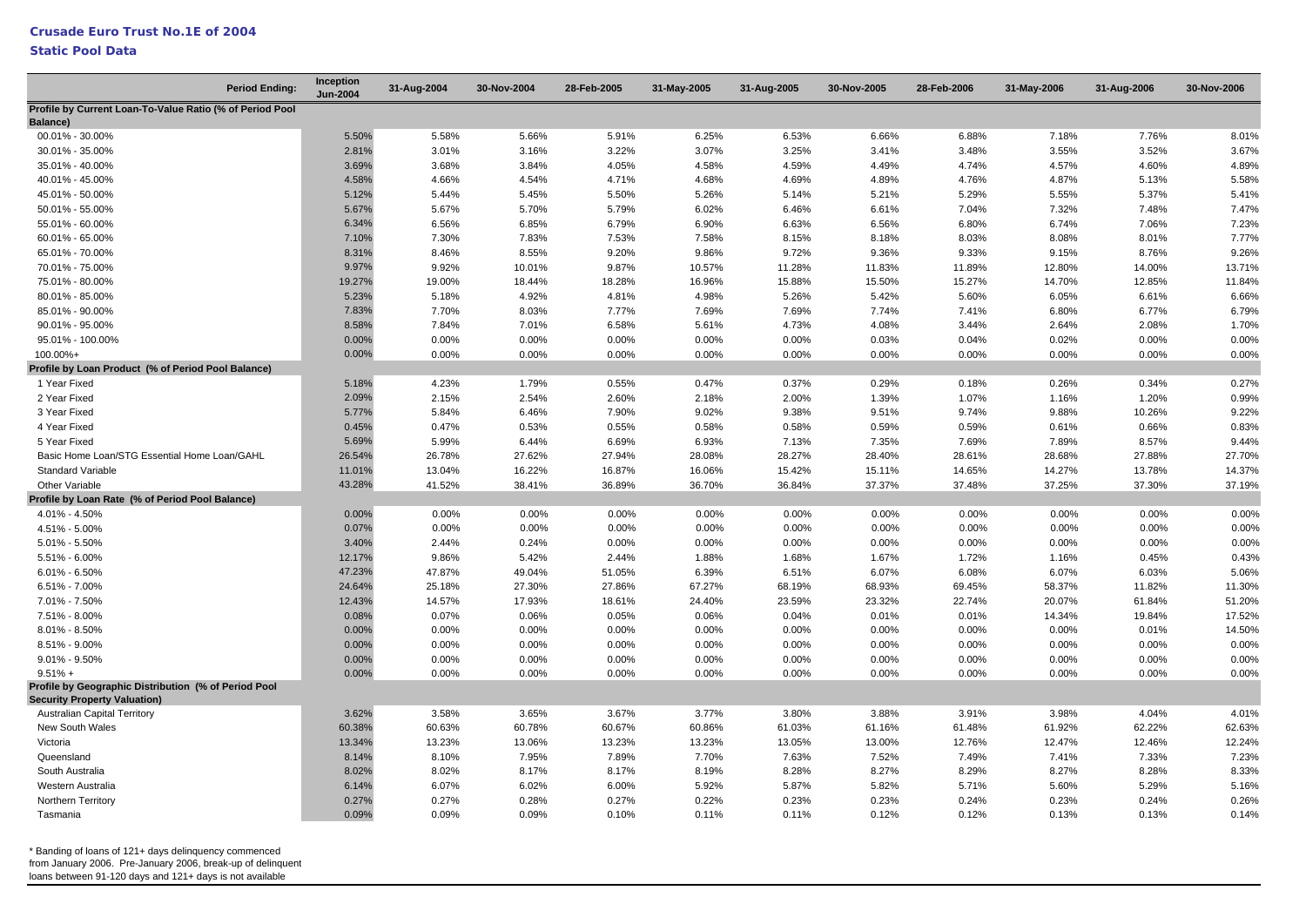### **Static Pool Data**

| <b>Period Ending:</b>                                             | Inception<br><b>Jun-2004</b> | 31-Aug-2004 | 30-Nov-2004 | 28-Feb-2005 | 31-May-2005 | 31-Aug-2005 | 30-Nov-2005 | 28-Feb-2006 | 31-May-2006 | 31-Aug-2006 | 30-Nov-2006 |
|-------------------------------------------------------------------|------------------------------|-------------|-------------|-------------|-------------|-------------|-------------|-------------|-------------|-------------|-------------|
| Profile by Current Loan-To-Value Ratio (% of Period Pool          |                              |             |             |             |             |             |             |             |             |             |             |
| Balance)                                                          |                              |             |             |             |             |             |             |             |             |             |             |
| 00.01% - 30.00%                                                   | 5.50%                        | 5.58%       | 5.66%       | 5.91%       | 6.25%       | 6.53%       | 6.66%       | 6.88%       | 7.18%       | 7.76%       | 8.01%       |
| 30.01% - 35.00%                                                   | 2.81%                        | 3.01%       | 3.16%       | 3.22%       | 3.07%       | 3.25%       | 3.41%       | 3.48%       | 3.55%       | 3.52%       | 3.67%       |
| 35.01% - 40.00%                                                   | 3.69%                        | 3.68%       | 3.84%       | 4.05%       | 4.58%       | 4.59%       | 4.49%       | 4.74%       | 4.57%       | 4.60%       | 4.89%       |
| 40.01% - 45.00%                                                   | 4.58%                        | 4.66%       | 4.54%       | 4.71%       | 4.68%       | 4.69%       | 4.89%       | 4.76%       | 4.87%       | 5.13%       | 5.58%       |
| 45.01% - 50.00%                                                   | 5.12%                        | 5.44%       | 5.45%       | 5.50%       | 5.26%       | 5.14%       | 5.21%       | 5.29%       | 5.55%       | 5.37%       | 5.41%       |
| 50.01% - 55.00%                                                   | 5.67%                        | 5.67%       | 5.70%       | 5.79%       | 6.02%       | 6.46%       | 6.61%       | 7.04%       | 7.32%       | 7.48%       | 7.47%       |
| 55.01% - 60.00%                                                   | 6.34%                        | 6.56%       | 6.85%       | 6.79%       | 6.90%       | 6.63%       | 6.56%       | 6.80%       | 6.74%       | 7.06%       | 7.23%       |
| 60.01% - 65.00%                                                   | 7.10%                        | 7.30%       | 7.83%       | 7.53%       | 7.58%       | 8.15%       | 8.18%       | 8.03%       | 8.08%       | 8.01%       | 7.77%       |
| 65.01% - 70.00%                                                   | 8.31%                        | 8.46%       | 8.55%       | 9.20%       | 9.86%       | 9.72%       | 9.36%       | 9.33%       | 9.15%       | 8.76%       | 9.26%       |
| 70.01% - 75.00%                                                   | 9.97%                        | 9.92%       | 10.01%      | 9.87%       | 10.57%      | 11.28%      | 11.83%      | 11.89%      | 12.80%      | 14.00%      | 13.71%      |
| 75.01% - 80.00%                                                   | 19.27%                       | 19.00%      | 18.44%      | 18.28%      | 16.96%      | 15.88%      | 15.50%      | 15.27%      | 14.70%      | 12.85%      | 11.84%      |
| 80.01% - 85.00%                                                   | 5.23%                        | 5.18%       | 4.92%       | 4.81%       | 4.98%       | 5.26%       | 5.42%       | 5.60%       | 6.05%       | 6.61%       | 6.66%       |
| 85.01% - 90.00%                                                   | 7.83%                        | 7.70%       | 8.03%       | 7.77%       | 7.69%       | 7.69%       | 7.74%       | 7.41%       | 6.80%       | 6.77%       | 6.79%       |
| 90.01% - 95.00%                                                   | 8.58%                        | 7.84%       | 7.01%       | 6.58%       | 5.61%       | 4.73%       | 4.08%       | 3.44%       | 2.64%       | 2.08%       | 1.70%       |
| 95.01% - 100.00%                                                  | 0.00%                        | 0.00%       | 0.00%       | 0.00%       | 0.00%       | 0.00%       | 0.03%       | 0.04%       | 0.02%       | 0.00%       | 0.00%       |
| 100.00%+                                                          | 0.00%                        | 0.00%       | 0.00%       | 0.00%       | 0.00%       | 0.00%       | 0.00%       | 0.00%       | 0.00%       | 0.00%       | 0.00%       |
| Profile by Loan Product (% of Period Pool Balance)                |                              |             |             |             |             |             |             |             |             |             |             |
| 1 Year Fixed                                                      | 5.18%                        | 4.23%       | 1.79%       | 0.55%       | 0.47%       | 0.37%       | 0.29%       | 0.18%       | 0.26%       | 0.34%       | 0.27%       |
| 2 Year Fixed                                                      | 2.09%                        | 2.15%       | 2.54%       | 2.60%       | 2.18%       | 2.00%       | 1.39%       | 1.07%       | 1.16%       | 1.20%       | 0.99%       |
| 3 Year Fixed                                                      | 5.77%                        | 5.84%       | 6.46%       | 7.90%       | 9.02%       | 9.38%       | 9.51%       | 9.74%       | 9.88%       | 10.26%      | 9.22%       |
| 4 Year Fixed                                                      | 0.45%                        | 0.47%       | 0.53%       | 0.55%       | 0.58%       | 0.58%       | 0.59%       | 0.59%       | 0.61%       | 0.66%       | 0.83%       |
| 5 Year Fixed                                                      | 5.69%                        | 5.99%       | 6.44%       | 6.69%       | 6.93%       | 7.13%       | 7.35%       | 7.69%       | 7.89%       | 8.57%       | 9.44%       |
| Basic Home Loan/STG Essential Home Loan/GAHL                      | 26.54%                       | 26.78%      | 27.62%      | 27.94%      | 28.08%      | 28.27%      | 28.40%      | 28.61%      | 28.68%      | 27.88%      | 27.70%      |
| <b>Standard Variable</b>                                          | 11.01%                       | 13.04%      | 16.22%      | 16.87%      | 16.06%      | 15.42%      | 15.11%      | 14.65%      | 14.27%      | 13.78%      | 14.37%      |
| Other Variable                                                    | 43.28%                       | 41.52%      | 38.41%      | 36.89%      | 36.70%      | 36.84%      | 37.37%      | 37.48%      | 37.25%      | 37.30%      | 37.19%      |
| Profile by Loan Rate (% of Period Pool Balance)                   |                              |             |             |             |             |             |             |             |             |             |             |
| 4.01% - 4.50%                                                     | 0.00%                        | 0.00%       | 0.00%       | 0.00%       | 0.00%       | 0.00%       | 0.00%       | 0.00%       | 0.00%       | 0.00%       | 0.00%       |
| 4.51% - 5.00%                                                     | 0.07%                        | 0.00%       | 0.00%       | 0.00%       | 0.00%       | 0.00%       | 0.00%       | 0.00%       | 0.00%       | 0.00%       | 0.00%       |
| 5.01% - 5.50%                                                     | 3.40%                        | 2.44%       | 0.24%       | 0.00%       | 0.00%       | 0.00%       | 0.00%       | 0.00%       | 0.00%       | 0.00%       | 0.00%       |
| 5.51% - 6.00%                                                     | 12.17%                       | 9.86%       | 5.42%       | 2.44%       | 1.88%       | 1.68%       | 1.67%       | 1.72%       | 1.16%       | 0.45%       | 0.43%       |
| $6.01\% - 6.50\%$                                                 | 47.23%                       | 47.87%      | 49.04%      | 51.05%      | 6.39%       | 6.51%       | 6.07%       | 6.08%       | 6.07%       | 6.03%       | 5.06%       |
| $6.51\% - 7.00\%$                                                 | 24.64%                       | 25.18%      | 27.30%      | 27.86%      | 67.27%      | 68.19%      | 68.93%      | 69.45%      | 58.37%      | 11.82%      | 11.30%      |
| 7.01% - 7.50%                                                     | 12.43%                       | 14.57%      | 17.93%      | 18.61%      | 24.40%      | 23.59%      | 23.32%      | 22.74%      | 20.07%      | 61.84%      | 51.20%      |
| 7.51% - 8.00%                                                     | 0.08%                        | 0.07%       | 0.06%       | 0.05%       | 0.06%       | 0.04%       | 0.01%       | 0.01%       | 14.34%      | 19.84%      | 17.52%      |
| $8.01\% - 8.50\%$                                                 | 0.00%                        | 0.00%       | 0.00%       | 0.00%       | 0.00%       | 0.00%       | 0.00%       | 0.00%       | 0.00%       | 0.01%       | 14.50%      |
|                                                                   | 0.00%                        |             |             |             |             |             |             |             |             |             | 0.00%       |
| 8.51% - 9.00%                                                     |                              | 0.00%       | 0.00%       | 0.00%       | 0.00%       | 0.00%       | 0.00%       | 0.00%       | 0.00%       | 0.00%       |             |
| $9.01\% - 9.50\%$                                                 | 0.00%                        | 0.00%       | 0.00%       | 0.00%       | 0.00%       | 0.00%       | 0.00%       | 0.00%       | 0.00%       | 0.00%       | 0.00%       |
| $9.51% +$<br>Profile by Geographic Distribution (% of Period Pool | 0.00%                        | 0.00%       | 0.00%       | 0.00%       | 0.00%       | 0.00%       | 0.00%       | 0.00%       | 0.00%       | 0.00%       | 0.00%       |
| <b>Security Property Valuation)</b>                               |                              |             |             |             |             |             |             |             |             |             |             |
| <b>Australian Capital Territory</b>                               | 3.62%                        | 3.58%       | 3.65%       | 3.67%       | 3.77%       | 3.80%       | 3.88%       | 3.91%       | 3.98%       | 4.04%       | 4.01%       |
| New South Wales                                                   | 60.38%                       | 60.63%      | 60.78%      | 60.67%      | 60.86%      | 61.03%      | 61.16%      | 61.48%      | 61.92%      | 62.22%      | 62.63%      |
| Victoria                                                          | 13.34%                       | 13.23%      | 13.06%      | 13.23%      | 13.23%      | 13.05%      | 13.00%      | 12.76%      | 12.47%      | 12.46%      | 12.24%      |
| Queensland                                                        | 8.14%                        | 8.10%       | 7.95%       | 7.89%       | 7.70%       | 7.63%       | 7.52%       | 7.49%       | 7.41%       | 7.33%       | 7.23%       |
| South Australia                                                   | 8.02%                        | 8.02%       | 8.17%       | 8.17%       | 8.19%       | 8.28%       | 8.27%       | 8.29%       | 8.27%       | 8.28%       | 8.33%       |
| Western Australia                                                 | 6.14%                        | 6.07%       | 6.02%       | 6.00%       | 5.92%       | 5.87%       | 5.82%       | 5.71%       | 5.60%       | 5.29%       | 5.16%       |
| Northern Territory                                                | 0.27%                        | 0.27%       | 0.28%       | 0.27%       | 0.22%       | 0.23%       | 0.23%       | 0.24%       | 0.23%       | 0.24%       | 0.26%       |
| Tasmania                                                          | 0.09%                        | 0.09%       | 0.09%       | 0.10%       | 0.11%       | 0.11%       | 0.12%       | 0.12%       | 0.13%       | 0.13%       | 0.14%       |
|                                                                   |                              |             |             |             |             |             |             |             |             |             |             |

\* Banding of loans of 121+ days delinquency commenced from January 2006. Pre-January 2006, break-up of delinquent

loans between 91-120 days and 121+ days is not available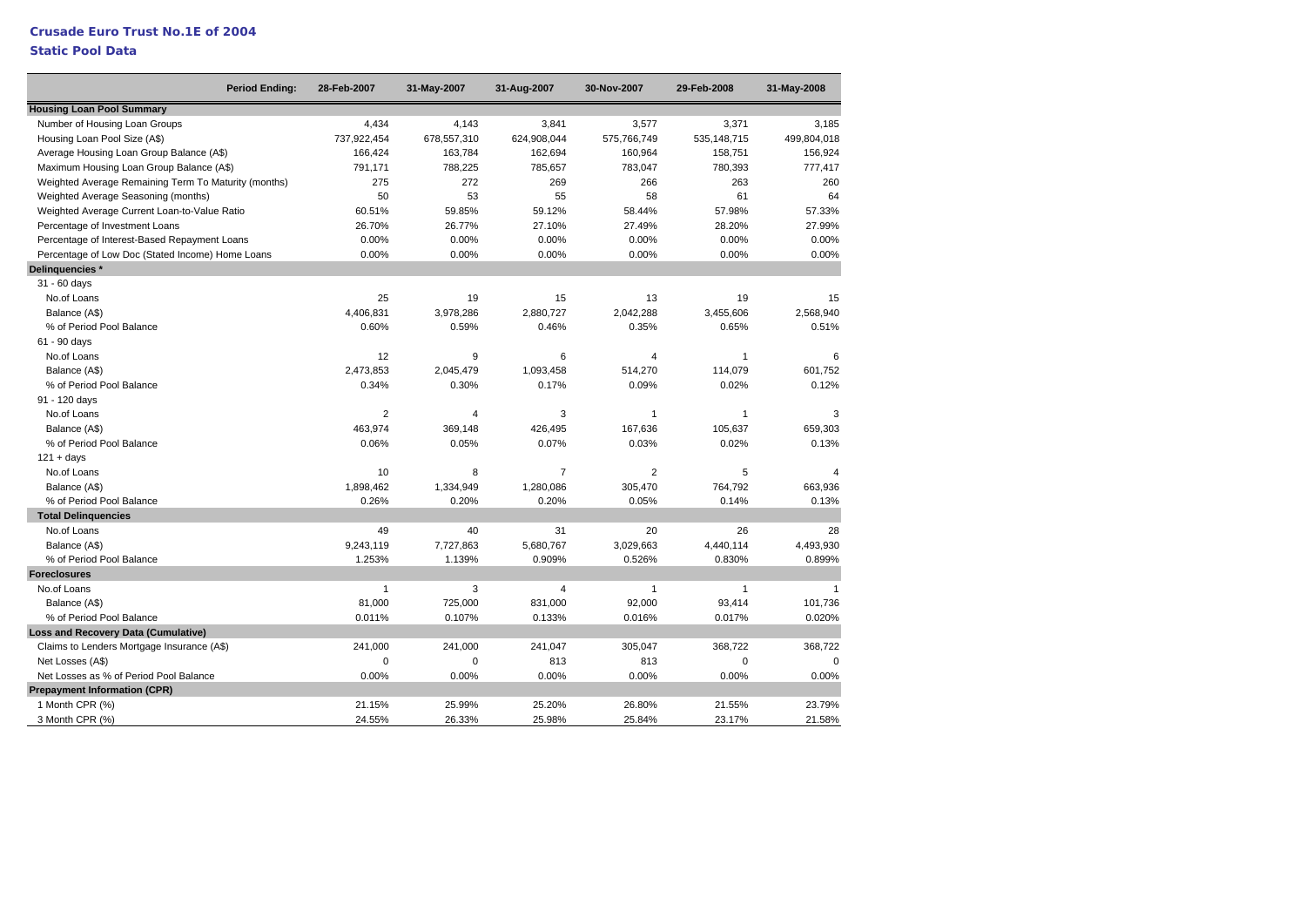### **Static Pool Data**

| <b>Period Ending:</b>                                | 28-Feb-2007    | 31-May-2007 | 31-Aug-2007    | 30-Nov-2007    | 29-Feb-2008   | 31-May-2008  |
|------------------------------------------------------|----------------|-------------|----------------|----------------|---------------|--------------|
| <b>Housing Loan Pool Summary</b>                     |                |             |                |                |               |              |
| Number of Housing Loan Groups                        | 4,434          | 4,143       | 3,841          | 3,577          | 3,371         | 3,185        |
| Housing Loan Pool Size (A\$)                         | 737,922,454    | 678,557,310 | 624,908,044    | 575,766,749    | 535, 148, 715 | 499,804,018  |
| Average Housing Loan Group Balance (A\$)             | 166,424        | 163,784     | 162,694        | 160,964        | 158,751       | 156,924      |
| Maximum Housing Loan Group Balance (A\$)             | 791,171        | 788,225     | 785,657        | 783,047        | 780,393       | 777,417      |
| Weighted Average Remaining Term To Maturity (months) | 275            | 272         | 269            | 266            | 263           | 260          |
| Weighted Average Seasoning (months)                  | 50             | 53          | 55             | 58             | 61            | 64           |
| Weighted Average Current Loan-to-Value Ratio         | 60.51%         | 59.85%      | 59.12%         | 58.44%         | 57.98%        | 57.33%       |
| Percentage of Investment Loans                       | 26.70%         | 26.77%      | 27.10%         | 27.49%         | 28.20%        | 27.99%       |
| Percentage of Interest-Based Repayment Loans         | 0.00%          | 0.00%       | 0.00%          | 0.00%          | 0.00%         | 0.00%        |
| Percentage of Low Doc (Stated Income) Home Loans     | 0.00%          | 0.00%       | 0.00%          | 0.00%          | $0.00\%$      | 0.00%        |
| Delinguencies *                                      |                |             |                |                |               |              |
| $31 - 60$ days                                       |                |             |                |                |               |              |
| No.of Loans                                          | 25             | 19          | 15             | 13             | 19            | 15           |
| Balance (A\$)                                        | 4,406,831      | 3,978,286   | 2,880,727      | 2,042,288      | 3,455,606     | 2,568,940    |
| % of Period Pool Balance                             | 0.60%          | 0.59%       | 0.46%          | 0.35%          | 0.65%         | 0.51%        |
| 61 - 90 days                                         |                |             |                |                |               |              |
| No.of Loans                                          | 12             | 9           | 6              | $\overline{4}$ | $\mathbf{1}$  | 6            |
| Balance (A\$)                                        | 2,473,853      | 2,045,479   | 1,093,458      | 514,270        | 114,079       | 601,752      |
| % of Period Pool Balance                             | 0.34%          | 0.30%       | 0.17%          | 0.09%          | 0.02%         | 0.12%        |
| 91 - 120 days                                        |                |             |                |                |               |              |
| No.of Loans                                          | $\overline{2}$ | 4           | 3              | $\mathbf{1}$   | $\mathbf{1}$  | 3            |
| Balance (A\$)                                        | 463.974        | 369,148     | 426,495        | 167,636        | 105,637       | 659,303      |
| % of Period Pool Balance                             | 0.06%          | 0.05%       | 0.07%          | 0.03%          | 0.02%         | 0.13%        |
| $121 + days$                                         |                |             |                |                |               |              |
| No.of Loans                                          | 10             | 8           | $\overline{7}$ | $\overline{2}$ | 5             | 4            |
| Balance (A\$)                                        | 1,898,462      | 1,334,949   | 1,280,086      | 305,470        | 764,792       | 663,936      |
| % of Period Pool Balance                             | 0.26%          | 0.20%       | 0.20%          | 0.05%          | 0.14%         | 0.13%        |
| <b>Total Delinguencies</b>                           |                |             |                |                |               |              |
| No.of Loans                                          | 49             | 40          | 31             | 20             | 26            | 28           |
| Balance (A\$)                                        | 9,243,119      | 7,727,863   | 5,680,767      | 3,029,663      | 4,440,114     | 4,493,930    |
| % of Period Pool Balance                             | 1.253%         | 1.139%      | 0.909%         | 0.526%         | 0.830%        | 0.899%       |
| <b>Foreclosures</b>                                  |                |             |                |                |               |              |
| No.of Loans                                          | $\mathbf{1}$   | 3           | 4              | $\mathbf{1}$   | $\mathbf{1}$  | $\mathbf{1}$ |
| Balance (A\$)                                        | 81,000         | 725,000     | 831,000        | 92,000         | 93,414        | 101.736      |
| % of Period Pool Balance                             | 0.011%         | 0.107%      | 0.133%         | 0.016%         | 0.017%        | 0.020%       |
| <b>Loss and Recovery Data (Cumulative)</b>           |                |             |                |                |               |              |
| Claims to Lenders Mortgage Insurance (A\$)           | 241,000        | 241,000     | 241,047        | 305,047        | 368,722       | 368,722      |
| Net Losses (A\$)                                     | $\mathbf 0$    | $\mathbf 0$ | 813            | 813            | $\mathbf 0$   | $\Omega$     |
| Net Losses as % of Period Pool Balance               | 0.00%          | 0.00%       | 0.00%          | 0.00%          | 0.00%         | 0.00%        |
| <b>Prepayment Information (CPR)</b>                  |                |             |                |                |               |              |
| 1 Month CPR (%)                                      | 21.15%         | 25.99%      | 25.20%         | 26.80%         | 21.55%        | 23.79%       |
| 3 Month CPR (%)                                      | 24.55%         | 26.33%      | 25.98%         | 25.84%         | 23.17%        | 21.58%       |